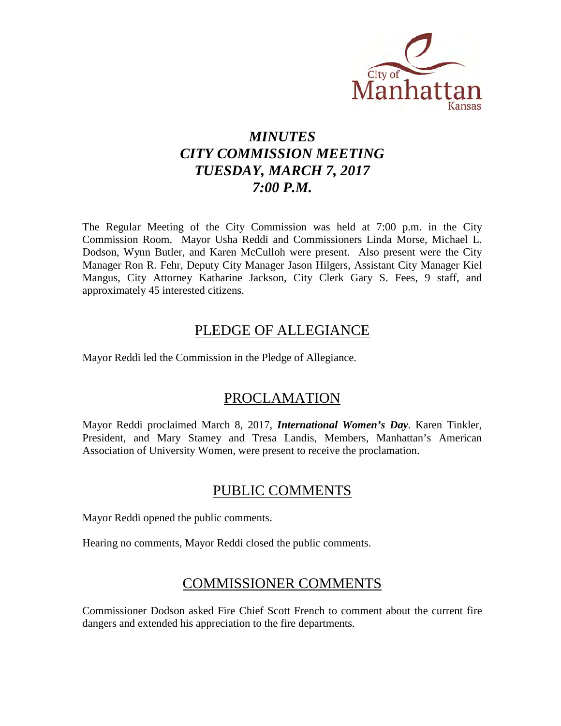

# *MINUTES CITY COMMISSION MEETING TUESDAY, MARCH 7, 2017 7:00 P.M.*

The Regular Meeting of the City Commission was held at 7:00 p.m. in the City Commission Room. Mayor Usha Reddi and Commissioners Linda Morse, Michael L. Dodson, Wynn Butler, and Karen McCulloh were present. Also present were the City Manager Ron R. Fehr, Deputy City Manager Jason Hilgers, Assistant City Manager Kiel Mangus, City Attorney Katharine Jackson, City Clerk Gary S. Fees, 9 staff, and approximately 45 interested citizens.

### PLEDGE OF ALLEGIANCE

Mayor Reddi led the Commission in the Pledge of Allegiance.

### PROCLAMATION

Mayor Reddi proclaimed March 8, 2017, *International Women's Day*. Karen Tinkler, President, and Mary Stamey and Tresa Landis, Members, Manhattan's American Association of University Women, were present to receive the proclamation.

### PUBLIC COMMENTS

Mayor Reddi opened the public comments.

Hearing no comments, Mayor Reddi closed the public comments.

# COMMISSIONER COMMENTS

Commissioner Dodson asked Fire Chief Scott French to comment about the current fire dangers and extended his appreciation to the fire departments.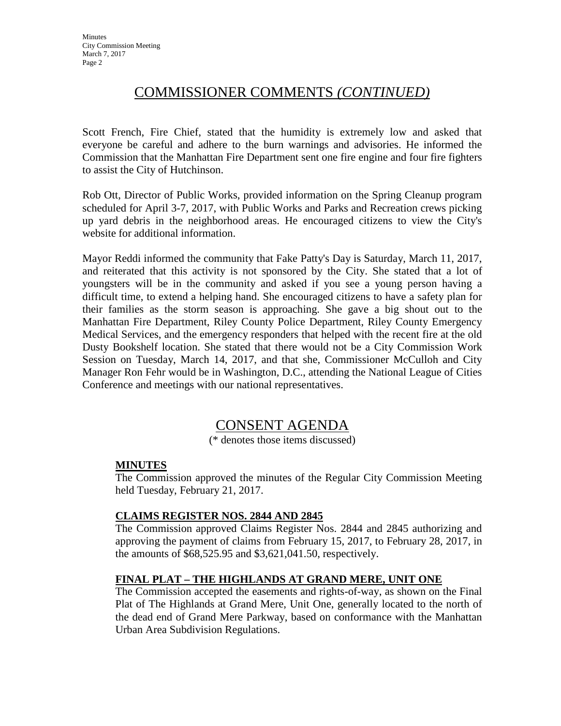### COMMISSIONER COMMENTS *(CONTINUED)*

Scott French, Fire Chief, stated that the humidity is extremely low and asked that everyone be careful and adhere to the burn warnings and advisories. He informed the Commission that the Manhattan Fire Department sent one fire engine and four fire fighters to assist the City of Hutchinson.

Rob Ott, Director of Public Works, provided information on the Spring Cleanup program scheduled for April 3-7, 2017, with Public Works and Parks and Recreation crews picking up yard debris in the neighborhood areas. He encouraged citizens to view the City's website for additional information.

Mayor Reddi informed the community that Fake Patty's Day is Saturday, March 11, 2017, and reiterated that this activity is not sponsored by the City. She stated that a lot of youngsters will be in the community and asked if you see a young person having a difficult time, to extend a helping hand. She encouraged citizens to have a safety plan for their families as the storm season is approaching. She gave a big shout out to the Manhattan Fire Department, Riley County Police Department, Riley County Emergency Medical Services, and the emergency responders that helped with the recent fire at the old Dusty Bookshelf location. She stated that there would not be a City Commission Work Session on Tuesday, March 14, 2017, and that she, Commissioner McCulloh and City Manager Ron Fehr would be in Washington, D.C., attending the National League of Cities Conference and meetings with our national representatives.

### CONSENT AGENDA

(\* denotes those items discussed)

#### **MINUTES**

The Commission approved the minutes of the Regular City Commission Meeting held Tuesday, February 21, 2017.

#### **CLAIMS REGISTER NOS. 2844 AND 2845**

The Commission approved Claims Register Nos. 2844 and 2845 authorizing and approving the payment of claims from February 15, 2017, to February 28, 2017, in the amounts of \$68,525.95 and \$3,621,041.50, respectively.

#### **FINAL PLAT – THE HIGHLANDS AT GRAND MERE, UNIT ONE**

The Commission accepted the easements and rights-of-way, as shown on the Final Plat of The Highlands at Grand Mere, Unit One, generally located to the north of the dead end of Grand Mere Parkway, based on conformance with the Manhattan Urban Area Subdivision Regulations.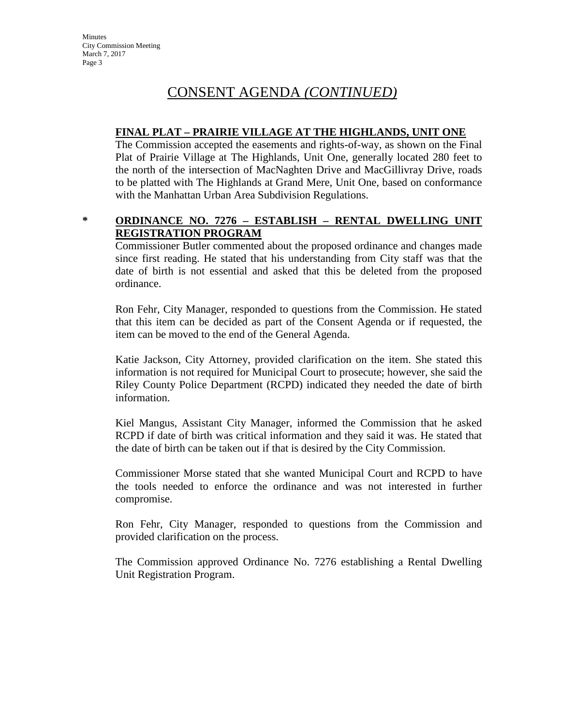**Minutes** City Commission Meeting March 7, 2017 Page 3

## CONSENT AGENDA *(CONTINUED)*

#### **FINAL PLAT – PRAIRIE VILLAGE AT THE HIGHLANDS, UNIT ONE**

The Commission accepted the easements and rights-of-way, as shown on the Final Plat of Prairie Village at The Highlands, Unit One, generally located 280 feet to the north of the intersection of MacNaghten Drive and MacGillivray Drive, roads to be platted with The Highlands at Grand Mere, Unit One, based on conformance with the Manhattan Urban Area Subdivision Regulations.

#### **\* ORDINANCE NO. 7276 – ESTABLISH – RENTAL DWELLING UNIT REGISTRATION PROGRAM**

Commissioner Butler commented about the proposed ordinance and changes made since first reading. He stated that his understanding from City staff was that the date of birth is not essential and asked that this be deleted from the proposed ordinance.

Ron Fehr, City Manager, responded to questions from the Commission. He stated that this item can be decided as part of the Consent Agenda or if requested, the item can be moved to the end of the General Agenda.

Katie Jackson, City Attorney, provided clarification on the item. She stated this information is not required for Municipal Court to prosecute; however, she said the Riley County Police Department (RCPD) indicated they needed the date of birth information.

Kiel Mangus, Assistant City Manager, informed the Commission that he asked RCPD if date of birth was critical information and they said it was. He stated that the date of birth can be taken out if that is desired by the City Commission.

Commissioner Morse stated that she wanted Municipal Court and RCPD to have the tools needed to enforce the ordinance and was not interested in further compromise.

Ron Fehr, City Manager, responded to questions from the Commission and provided clarification on the process.

The Commission approved Ordinance No. 7276 establishing a Rental Dwelling Unit Registration Program.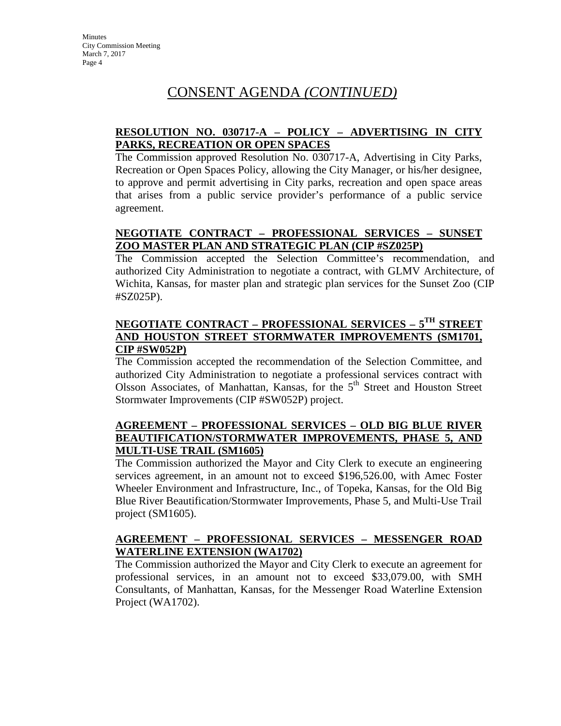# CONSENT AGENDA *(CONTINUED)*

#### **RESOLUTION NO. 030717-A – POLICY – ADVERTISING IN CITY PARKS, RECREATION OR OPEN SPACES**

The Commission approved Resolution No. 030717-A, Advertising in City Parks, Recreation or Open Spaces Policy, allowing the City Manager, or his/her designee, to approve and permit advertising in City parks, recreation and open space areas that arises from a public service provider's performance of a public service agreement.

### **NEGOTIATE CONTRACT – PROFESSIONAL SERVICES – SUNSET ZOO MASTER PLAN AND STRATEGIC PLAN (CIP #SZ025P)**

The Commission accepted the Selection Committee's recommendation, and authorized City Administration to negotiate a contract, with GLMV Architecture, of Wichita, Kansas, for master plan and strategic plan services for the Sunset Zoo (CIP #SZ025P).

### **NEGOTIATE CONTRACT – PROFESSIONAL SERVICES – 5TH STREET AND HOUSTON STREET STORMWATER IMPROVEMENTS (SM1701, CIP #SW052P)**

The Commission accepted the recommendation of the Selection Committee, and authorized City Administration to negotiate a professional services contract with Olsson Associates, of Manhattan, Kansas, for the 5<sup>th</sup> Street and Houston Street Stormwater Improvements (CIP #SW052P) project.

#### **AGREEMENT – PROFESSIONAL SERVICES – OLD BIG BLUE RIVER BEAUTIFICATION/STORMWATER IMPROVEMENTS, PHASE 5, AND MULTI-USE TRAIL (SM1605)**

The Commission authorized the Mayor and City Clerk to execute an engineering services agreement, in an amount not to exceed \$196,526.00, with Amec Foster Wheeler Environment and Infrastructure, Inc., of Topeka, Kansas, for the Old Big Blue River Beautification/Stormwater Improvements, Phase 5, and Multi-Use Trail project (SM1605).

#### **AGREEMENT – PROFESSIONAL SERVICES – MESSENGER ROAD WATERLINE EXTENSION (WA1702)**

The Commission authorized the Mayor and City Clerk to execute an agreement for professional services, in an amount not to exceed \$33,079.00, with SMH Consultants, of Manhattan, Kansas, for the Messenger Road Waterline Extension Project (WA1702).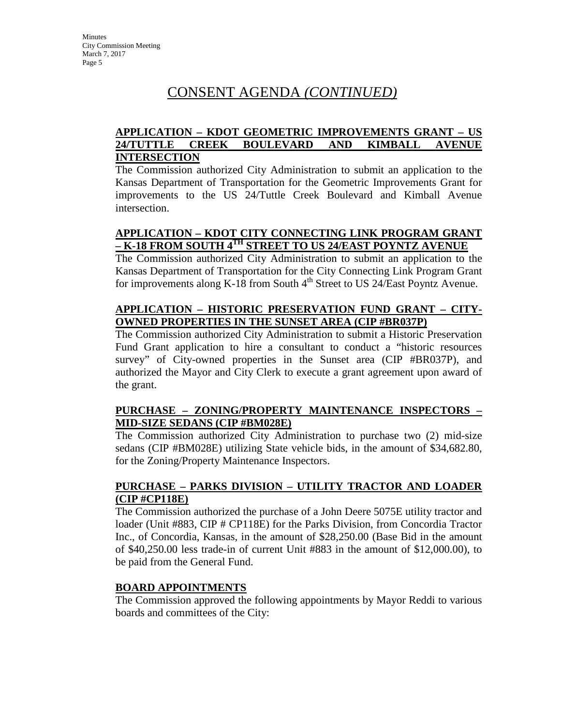# CONSENT AGENDA *(CONTINUED)*

#### **APPLICATION – KDOT GEOMETRIC IMPROVEMENTS GRANT – US 24/TUTTLE CREEK BOULEVARD AND KIMBALL AVENUE INTERSECTION**

The Commission authorized City Administration to submit an application to the Kansas Department of Transportation for the Geometric Improvements Grant for improvements to the US 24/Tuttle Creek Boulevard and Kimball Avenue intersection.

### **APPLICATION – KDOT CITY CONNECTING LINK PROGRAM GRANT – K-18 FROM SOUTH 4TH STREET TO US 24/EAST POYNTZ AVENUE**

The Commission authorized City Administration to submit an application to the Kansas Department of Transportation for the City Connecting Link Program Grant for improvements along K-18 from South  $4<sup>th</sup>$  Street to US 24/East Poyntz Avenue.

### **APPLICATION – HISTORIC PRESERVATION FUND GRANT – CITY-OWNED PROPERTIES IN THE SUNSET AREA (CIP #BR037P)**

The Commission authorized City Administration to submit a Historic Preservation Fund Grant application to hire a consultant to conduct a "historic resources survey" of City-owned properties in the Sunset area (CIP #BR037P), and authorized the Mayor and City Clerk to execute a grant agreement upon award of the grant.

#### **PURCHASE – ZONING/PROPERTY MAINTENANCE INSPECTORS – MID-SIZE SEDANS (CIP #BM028E)**

The Commission authorized City Administration to purchase two (2) mid-size sedans (CIP #BM028E) utilizing State vehicle bids, in the amount of \$34,682.80, for the Zoning/Property Maintenance Inspectors.

### **PURCHASE – PARKS DIVISION – UTILITY TRACTOR AND LOADER (CIP #CP118E)**

The Commission authorized the purchase of a John Deere 5075E utility tractor and loader (Unit #883, CIP # CP118E) for the Parks Division, from Concordia Tractor Inc., of Concordia, Kansas, in the amount of \$28,250.00 (Base Bid in the amount of \$40,250.00 less trade-in of current Unit #883 in the amount of \$12,000.00), to be paid from the General Fund.

#### **BOARD APPOINTMENTS**

The Commission approved the following appointments by Mayor Reddi to various boards and committees of the City: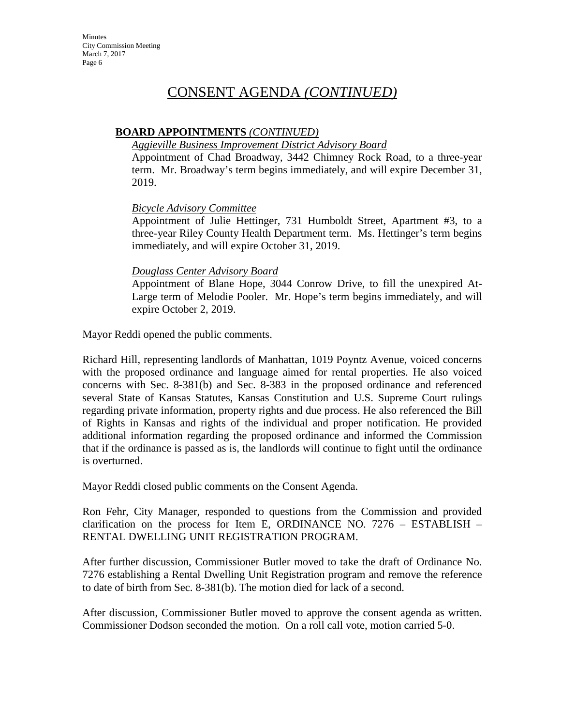## CONSENT AGENDA *(CONTINUED)*

### **BOARD APPOINTMENTS** *(CONTINUED)*

#### *Aggieville Business Improvement District Advisory Board*

Appointment of Chad Broadway, 3442 Chimney Rock Road, to a three-year term. Mr. Broadway's term begins immediately, and will expire December 31, 2019.

#### *Bicycle Advisory Committee*

Appointment of Julie Hettinger, 731 Humboldt Street, Apartment #3, to a three-year Riley County Health Department term. Ms. Hettinger's term begins immediately, and will expire October 31, 2019.

#### *Douglass Center Advisory Board*

Appointment of Blane Hope, 3044 Conrow Drive, to fill the unexpired At-Large term of Melodie Pooler. Mr. Hope's term begins immediately, and will expire October 2, 2019.

Mayor Reddi opened the public comments.

Richard Hill, representing landlords of Manhattan, 1019 Poyntz Avenue, voiced concerns with the proposed ordinance and language aimed for rental properties. He also voiced concerns with Sec. 8-381(b) and Sec. 8-383 in the proposed ordinance and referenced several State of Kansas Statutes, Kansas Constitution and U.S. Supreme Court rulings regarding private information, property rights and due process. He also referenced the Bill of Rights in Kansas and rights of the individual and proper notification. He provided additional information regarding the proposed ordinance and informed the Commission that if the ordinance is passed as is, the landlords will continue to fight until the ordinance is overturned.

Mayor Reddi closed public comments on the Consent Agenda.

Ron Fehr, City Manager, responded to questions from the Commission and provided clarification on the process for Item E, ORDINANCE NO. 7276 – ESTABLISH – RENTAL DWELLING UNIT REGISTRATION PROGRAM.

After further discussion, Commissioner Butler moved to take the draft of Ordinance No. 7276 establishing a Rental Dwelling Unit Registration program and remove the reference to date of birth from Sec. 8-381(b). The motion died for lack of a second.

After discussion, Commissioner Butler moved to approve the consent agenda as written. Commissioner Dodson seconded the motion. On a roll call vote, motion carried 5-0.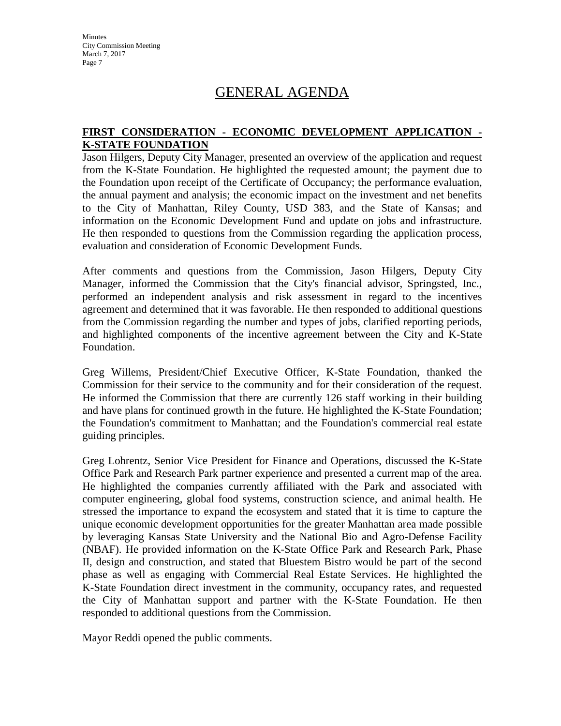**Minutes** City Commission Meeting March 7, 2017 Page 7

## GENERAL AGENDA

#### **FIRST CONSIDERATION - ECONOMIC DEVELOPMENT APPLICATION - K-STATE FOUNDATION**

Jason Hilgers, Deputy City Manager, presented an overview of the application and request from the K-State Foundation. He highlighted the requested amount; the payment due to the Foundation upon receipt of the Certificate of Occupancy; the performance evaluation, the annual payment and analysis; the economic impact on the investment and net benefits to the City of Manhattan, Riley County, USD 383, and the State of Kansas; and information on the Economic Development Fund and update on jobs and infrastructure. He then responded to questions from the Commission regarding the application process, evaluation and consideration of Economic Development Funds.

After comments and questions from the Commission, Jason Hilgers, Deputy City Manager, informed the Commission that the City's financial advisor, Springsted, Inc., performed an independent analysis and risk assessment in regard to the incentives agreement and determined that it was favorable. He then responded to additional questions from the Commission regarding the number and types of jobs, clarified reporting periods, and highlighted components of the incentive agreement between the City and K-State Foundation.

Greg Willems, President/Chief Executive Officer, K-State Foundation, thanked the Commission for their service to the community and for their consideration of the request. He informed the Commission that there are currently 126 staff working in their building and have plans for continued growth in the future. He highlighted the K-State Foundation; the Foundation's commitment to Manhattan; and the Foundation's commercial real estate guiding principles.

Greg Lohrentz, Senior Vice President for Finance and Operations, discussed the K-State Office Park and Research Park partner experience and presented a current map of the area. He highlighted the companies currently affiliated with the Park and associated with computer engineering, global food systems, construction science, and animal health. He stressed the importance to expand the ecosystem and stated that it is time to capture the unique economic development opportunities for the greater Manhattan area made possible by leveraging Kansas State University and the National Bio and Agro-Defense Facility (NBAF). He provided information on the K-State Office Park and Research Park, Phase II, design and construction, and stated that Bluestem Bistro would be part of the second phase as well as engaging with Commercial Real Estate Services. He highlighted the K-State Foundation direct investment in the community, occupancy rates, and requested the City of Manhattan support and partner with the K-State Foundation. He then responded to additional questions from the Commission.

Mayor Reddi opened the public comments.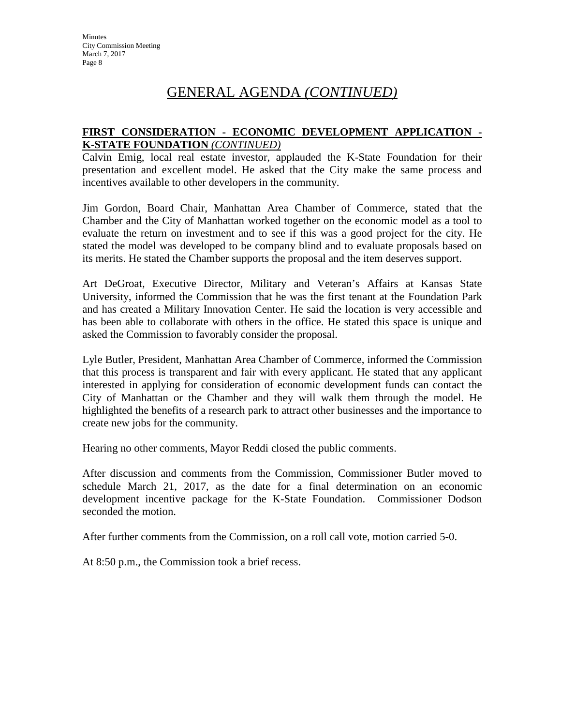# GENERAL AGENDA *(CONTINUED)*

#### **FIRST CONSIDERATION - ECONOMIC DEVELOPMENT APPLICATION - K-STATE FOUNDATION** *(CONTINUED)*

Calvin Emig, local real estate investor, applauded the K-State Foundation for their presentation and excellent model. He asked that the City make the same process and incentives available to other developers in the community.

Jim Gordon, Board Chair, Manhattan Area Chamber of Commerce, stated that the Chamber and the City of Manhattan worked together on the economic model as a tool to evaluate the return on investment and to see if this was a good project for the city. He stated the model was developed to be company blind and to evaluate proposals based on its merits. He stated the Chamber supports the proposal and the item deserves support.

Art DeGroat, Executive Director, Military and Veteran's Affairs at Kansas State University, informed the Commission that he was the first tenant at the Foundation Park and has created a Military Innovation Center. He said the location is very accessible and has been able to collaborate with others in the office. He stated this space is unique and asked the Commission to favorably consider the proposal.

Lyle Butler, President, Manhattan Area Chamber of Commerce, informed the Commission that this process is transparent and fair with every applicant. He stated that any applicant interested in applying for consideration of economic development funds can contact the City of Manhattan or the Chamber and they will walk them through the model. He highlighted the benefits of a research park to attract other businesses and the importance to create new jobs for the community.

Hearing no other comments, Mayor Reddi closed the public comments.

After discussion and comments from the Commission, Commissioner Butler moved to schedule March 21, 2017, as the date for a final determination on an economic development incentive package for the K-State Foundation. Commissioner Dodson seconded the motion.

After further comments from the Commission, on a roll call vote, motion carried 5-0.

At 8:50 p.m., the Commission took a brief recess.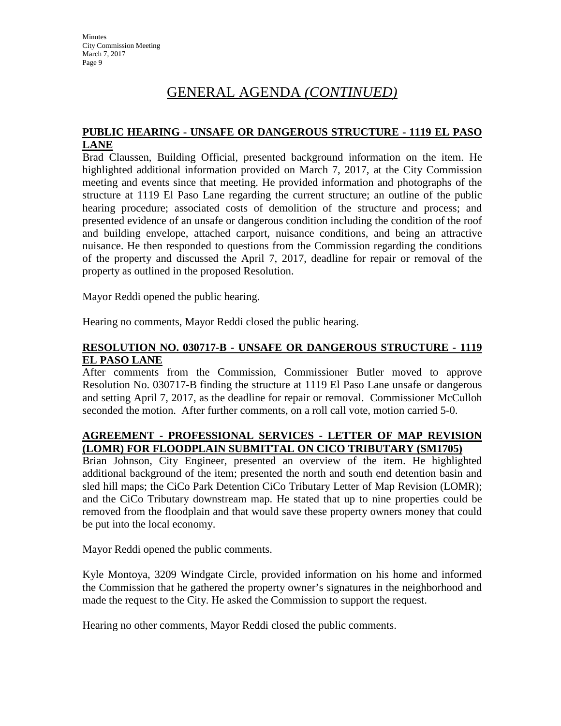# GENERAL AGENDA *(CONTINUED)*

#### **PUBLIC HEARING - UNSAFE OR DANGEROUS STRUCTURE - 1119 EL PASO LANE**

Brad Claussen, Building Official, presented background information on the item. He highlighted additional information provided on March 7, 2017, at the City Commission meeting and events since that meeting. He provided information and photographs of the structure at 1119 El Paso Lane regarding the current structure; an outline of the public hearing procedure; associated costs of demolition of the structure and process; and presented evidence of an unsafe or dangerous condition including the condition of the roof and building envelope, attached carport, nuisance conditions, and being an attractive nuisance. He then responded to questions from the Commission regarding the conditions of the property and discussed the April 7, 2017, deadline for repair or removal of the property as outlined in the proposed Resolution.

Mayor Reddi opened the public hearing.

Hearing no comments, Mayor Reddi closed the public hearing.

#### **RESOLUTION NO. 030717-B - UNSAFE OR DANGEROUS STRUCTURE - 1119 EL PASO LANE**

After comments from the Commission, Commissioner Butler moved to approve Resolution No. 030717-B finding the structure at 1119 El Paso Lane unsafe or dangerous and setting April 7, 2017, as the deadline for repair or removal. Commissioner McCulloh seconded the motion. After further comments, on a roll call vote, motion carried 5-0.

#### **AGREEMENT - PROFESSIONAL SERVICES - LETTER OF MAP REVISION (LOMR) FOR FLOODPLAIN SUBMITTAL ON CICO TRIBUTARY (SM1705)**

Brian Johnson, City Engineer, presented an overview of the item. He highlighted additional background of the item; presented the north and south end detention basin and sled hill maps; the CiCo Park Detention CiCo Tributary Letter of Map Revision (LOMR); and the CiCo Tributary downstream map. He stated that up to nine properties could be removed from the floodplain and that would save these property owners money that could be put into the local economy.

Mayor Reddi opened the public comments.

Kyle Montoya, 3209 Windgate Circle, provided information on his home and informed the Commission that he gathered the property owner's signatures in the neighborhood and made the request to the City. He asked the Commission to support the request.

Hearing no other comments, Mayor Reddi closed the public comments.